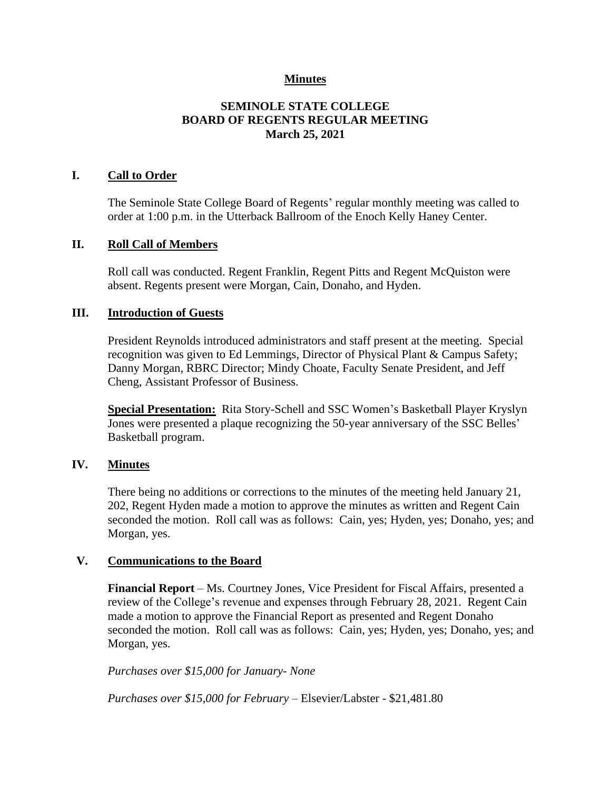## **Minutes**

# **SEMINOLE STATE COLLEGE BOARD OF REGENTS REGULAR MEETING March 25, 2021**

## **I. Call to Order**

The Seminole State College Board of Regents' regular monthly meeting was called to order at 1:00 p.m. in the Utterback Ballroom of the Enoch Kelly Haney Center.

#### **II. Roll Call of Members**

Roll call was conducted. Regent Franklin, Regent Pitts and Regent McQuiston were absent. Regents present were Morgan, Cain, Donaho, and Hyden.

#### **III. Introduction of Guests**

President Reynolds introduced administrators and staff present at the meeting. Special recognition was given to Ed Lemmings, Director of Physical Plant & Campus Safety; Danny Morgan, RBRC Director; Mindy Choate, Faculty Senate President, and Jeff Cheng, Assistant Professor of Business.

**Special Presentation:** Rita Story-Schell and SSC Women's Basketball Player Kryslyn Jones were presented a plaque recognizing the 50-year anniversary of the SSC Belles' Basketball program.

## **IV. Minutes**

There being no additions or corrections to the minutes of the meeting held January 21, 202, Regent Hyden made a motion to approve the minutes as written and Regent Cain seconded the motion. Roll call was as follows: Cain, yes; Hyden, yes; Donaho, yes; and Morgan, yes.

#### **V. Communications to the Board**

**Financial Report** – Ms. Courtney Jones, Vice President for Fiscal Affairs, presented a review of the College's revenue and expenses through February 28, 2021. Regent Cain made a motion to approve the Financial Report as presented and Regent Donaho seconded the motion. Roll call was as follows: Cain, yes; Hyden, yes; Donaho, yes; and Morgan, yes.

*Purchases over \$15,000 for January- None*

*Purchases over \$15,000 for February* – Elsevier/Labster - \$21,481.80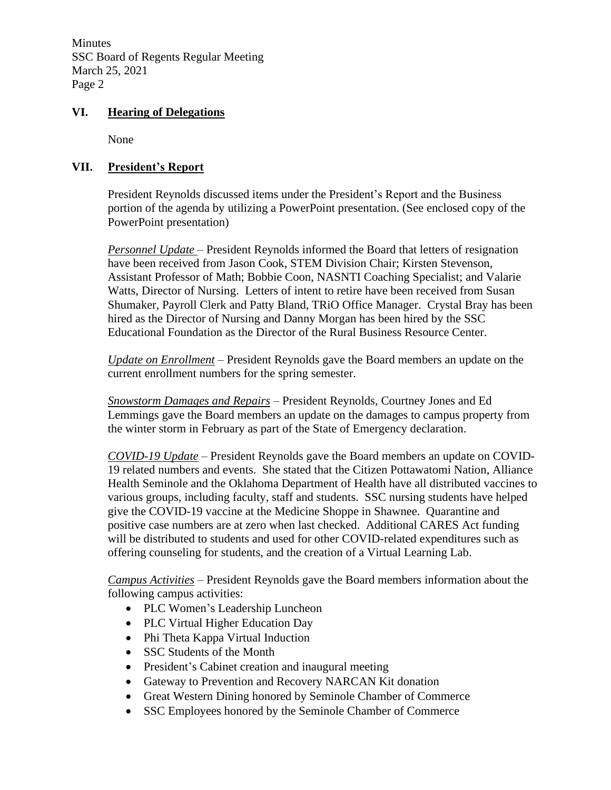Minutes SSC Board of Regents Regular Meeting March 25, 2021 Page 2

## **VI. Hearing of Delegations**

None

# **VII. President's Report**

President Reynolds discussed items under the President's Report and the Business portion of the agenda by utilizing a PowerPoint presentation. (See enclosed copy of the PowerPoint presentation)

*Personnel Update* – President Reynolds informed the Board that letters of resignation have been received from Jason Cook, STEM Division Chair; Kirsten Stevenson, Assistant Professor of Math; Bobbie Coon, NASNTI Coaching Specialist; and Valarie Watts, Director of Nursing. Letters of intent to retire have been received from Susan Shumaker, Payroll Clerk and Patty Bland, TRiO Office Manager. Crystal Bray has been hired as the Director of Nursing and Danny Morgan has been hired by the SSC Educational Foundation as the Director of the Rural Business Resource Center.

*Update on Enrollment* – President Reynolds gave the Board members an update on the current enrollment numbers for the spring semester.

*Snowstorm Damages and Repairs* – President Reynolds, Courtney Jones and Ed Lemmings gave the Board members an update on the damages to campus property from the winter storm in February as part of the State of Emergency declaration.

*COVID-19 Update* – President Reynolds gave the Board members an update on COVID-19 related numbers and events. She stated that the Citizen Pottawatomi Nation, Alliance Health Seminole and the Oklahoma Department of Health have all distributed vaccines to various groups, including faculty, staff and students. SSC nursing students have helped give the COVID-19 vaccine at the Medicine Shoppe in Shawnee. Quarantine and positive case numbers are at zero when last checked. Additional CARES Act funding will be distributed to students and used for other COVID-related expenditures such as offering counseling for students, and the creation of a Virtual Learning Lab.

*Campus Activities* – President Reynolds gave the Board members information about the following campus activities:

- PLC Women's Leadership Luncheon
- PLC Virtual Higher Education Day
- Phi Theta Kappa Virtual Induction
- SSC Students of the Month
- President's Cabinet creation and inaugural meeting
- Gateway to Prevention and Recovery NARCAN Kit donation
- Great Western Dining honored by Seminole Chamber of Commerce
- SSC Employees honored by the Seminole Chamber of Commerce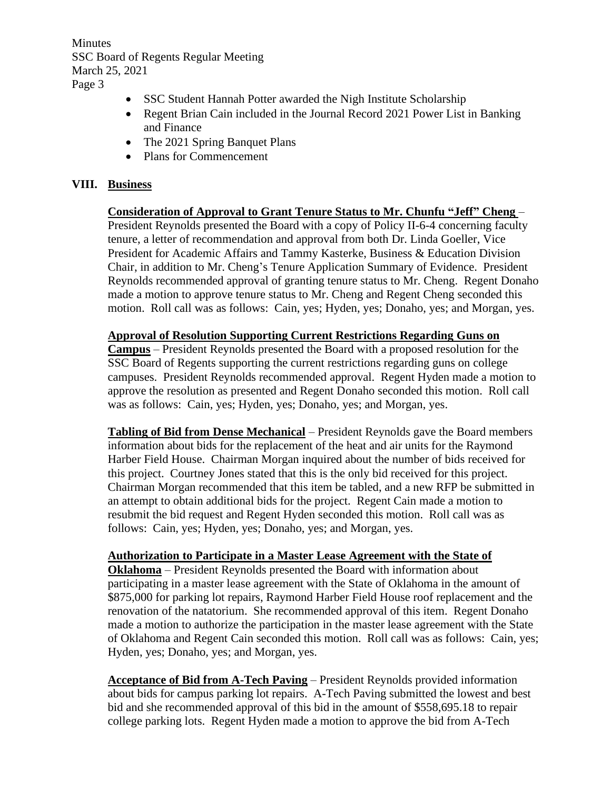Minutes SSC Board of Regents Regular Meeting March 25, 2021 Page 3

- SSC Student Hannah Potter awarded the Nigh Institute Scholarship
- Regent Brian Cain included in the Journal Record 2021 Power List in Banking and Finance
- The 2021 Spring Banquet Plans
- Plans for Commencement

## **VIII. Business**

**Consideration of Approval to Grant Tenure Status to Mr. Chunfu "Jeff" Cheng** – President Reynolds presented the Board with a copy of Policy II-6-4 concerning faculty tenure, a letter of recommendation and approval from both Dr. Linda Goeller, Vice President for Academic Affairs and Tammy Kasterke, Business & Education Division Chair, in addition to Mr. Cheng's Tenure Application Summary of Evidence. President Reynolds recommended approval of granting tenure status to Mr. Cheng. Regent Donaho made a motion to approve tenure status to Mr. Cheng and Regent Cheng seconded this motion. Roll call was as follows: Cain, yes; Hyden, yes; Donaho, yes; and Morgan, yes.

## **Approval of Resolution Supporting Current Restrictions Regarding Guns on**

**Campus** – President Reynolds presented the Board with a proposed resolution for the SSC Board of Regents supporting the current restrictions regarding guns on college campuses. President Reynolds recommended approval. Regent Hyden made a motion to approve the resolution as presented and Regent Donaho seconded this motion. Roll call was as follows: Cain, yes; Hyden, yes; Donaho, yes; and Morgan, yes.

**Tabling of Bid from Dense Mechanical** – President Reynolds gave the Board members information about bids for the replacement of the heat and air units for the Raymond Harber Field House. Chairman Morgan inquired about the number of bids received for this project. Courtney Jones stated that this is the only bid received for this project. Chairman Morgan recommended that this item be tabled, and a new RFP be submitted in an attempt to obtain additional bids for the project. Regent Cain made a motion to resubmit the bid request and Regent Hyden seconded this motion. Roll call was as follows: Cain, yes; Hyden, yes; Donaho, yes; and Morgan, yes.

## **Authorization to Participate in a Master Lease Agreement with the State of**

**Oklahoma** – President Reynolds presented the Board with information about participating in a master lease agreement with the State of Oklahoma in the amount of \$875,000 for parking lot repairs, Raymond Harber Field House roof replacement and the renovation of the natatorium. She recommended approval of this item. Regent Donaho made a motion to authorize the participation in the master lease agreement with the State of Oklahoma and Regent Cain seconded this motion. Roll call was as follows: Cain, yes; Hyden, yes; Donaho, yes; and Morgan, yes.

**Acceptance of Bid from A-Tech Paving** – President Reynolds provided information about bids for campus parking lot repairs. A-Tech Paving submitted the lowest and best bid and she recommended approval of this bid in the amount of \$558,695.18 to repair college parking lots. Regent Hyden made a motion to approve the bid from A-Tech